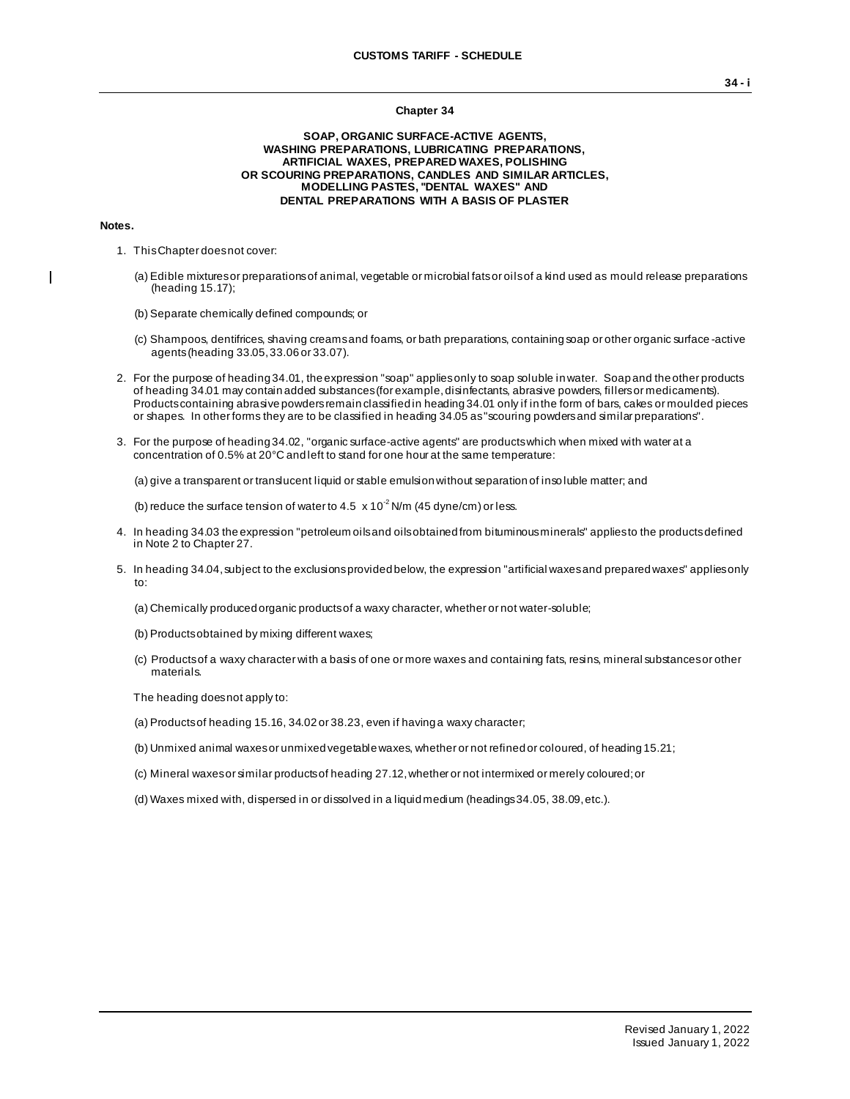#### **Chapter 34**

#### **SOAP, ORGANIC SURFACE-ACTIVE AGENTS, WASHING PREPARATIONS, LUBRICATING PREPARATIONS, ARTIFICIAL WAXES, PREPARED WAXES, POLISHING OR SCOURING PREPARATIONS, CANDLES AND SIMILAR ARTICLES, MODELLING PASTES, ''DENTAL WAXES'' AND DENTAL PREPARATIONS WITH A BASIS OF PLASTER**

#### **Notes.**

 $\blacksquare$ 

- 1. This Chapter does not cover:
	- (a) Edible mixtures or preparations of animal, vegetable or microbial fats or oils of a kind used as mould release preparations (heading 15.17);
	- (b) Separate chemically defined compounds; or
	- (c) Shampoos, dentifrices, shaving creams and foams, or bath preparations, containing soap or other organic surface -active agents (heading 33.05, 33.06 or 33.07).
- 2. For the purpose of heading 34.01, the expression "soap" applies only to soap soluble in water. Soap and the other products of heading 34.01 may contain added substances (for example, disinfectants, abrasive powders, fillers or medicaments). Products containing abrasive powders remain classified in heading 34.01 only if in the form of bars, cakes or moulded pieces or shapes. In other forms they are to be classified in heading 34.05 as "scouring powders and similar preparations".
- 3. For the purpose of heading 34.02, "organic surface-active agents" are products which when mixed with water at a concentration of 0.5% at 20°C and left to stand for one hour at the same temperature:

(a) give a transparent or translucent liquid or stable emulsion without separation of inso luble matter; and

(b) reduce the surface tension of water to 4.5  $\times$  10<sup>-2</sup> N/m (45 dyne/cm) or less.

- 4. In heading 34.03 the expression "petroleum oils and oils obtained from bituminous minerals" applies to the products defined in Note 2 to Chapter 27.
- 5. In heading 34.04, subject to the exclusions provided below, the expression "artificial waxes and prepared waxes" applies only to:
	- (a) Chemically produced organic products of a waxy character, whether or not water-soluble;
	- (b) Products obtained by mixing different waxes;
	- (c) Products of a waxy character with a basis of one or more waxes and containing fats, resins, mineral substances or other materials.

The heading does not apply to:

- (a) Products of heading 15.16, 34.02 or 38.23, even if having a waxy character;
- (b) Unmixed animal waxes or unmixed vegetable waxes, whether or not refined or coloured, of heading 15.21;
- (c) Mineral waxes or similar products of heading 27.12, whether or not intermixed or merely coloured; or
- (d) Waxes mixed with, dispersed in or dissolved in a liquid medium (headings 34.05, 38.09, etc.).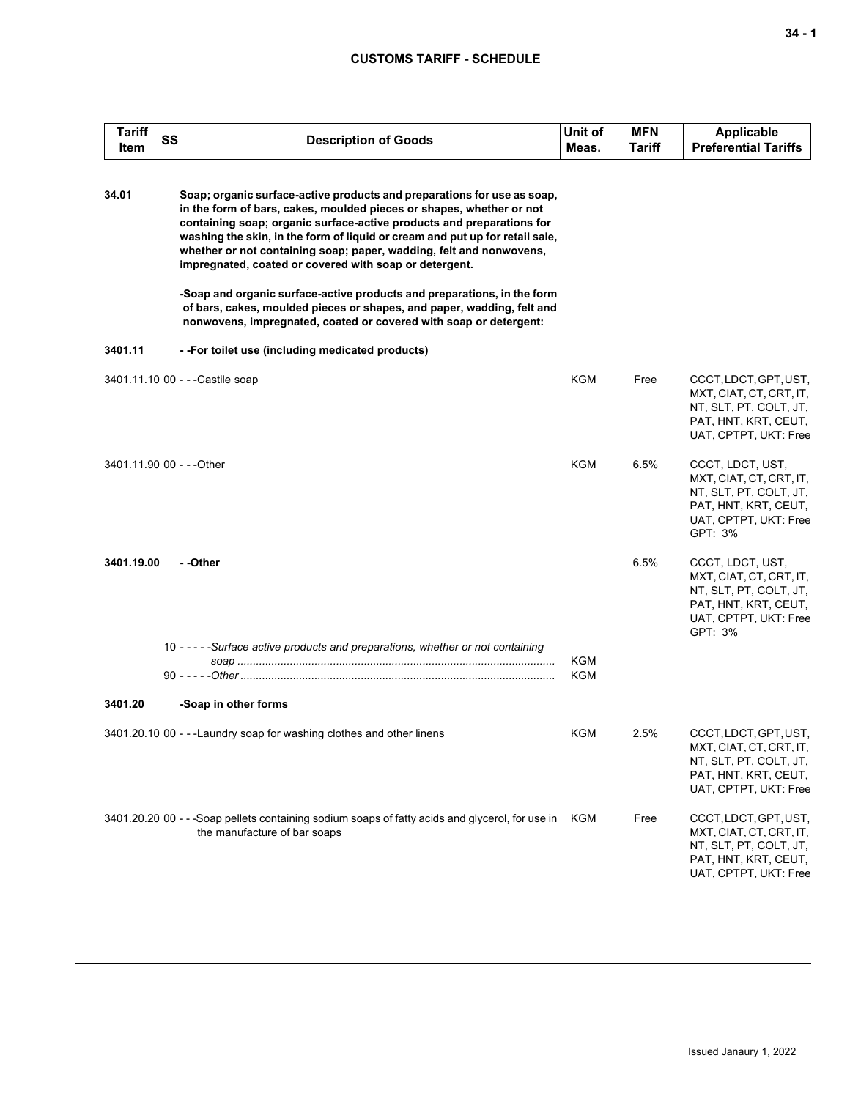| <b>Tariff</b><br>Item     | SS | <b>Description of Goods</b>                                                                                                                                                                                                                                                                                                                                                                                                                                                                                                                                                                                                                                         | Unit of<br>Meas. | <b>MFN</b><br>Tariff | <b>Applicable</b><br><b>Preferential Tariffs</b>                                                                                  |
|---------------------------|----|---------------------------------------------------------------------------------------------------------------------------------------------------------------------------------------------------------------------------------------------------------------------------------------------------------------------------------------------------------------------------------------------------------------------------------------------------------------------------------------------------------------------------------------------------------------------------------------------------------------------------------------------------------------------|------------------|----------------------|-----------------------------------------------------------------------------------------------------------------------------------|
| 34.01                     |    | Soap; organic surface-active products and preparations for use as soap,<br>in the form of bars, cakes, moulded pieces or shapes, whether or not<br>containing soap; organic surface-active products and preparations for<br>washing the skin, in the form of liquid or cream and put up for retail sale,<br>whether or not containing soap; paper, wadding, felt and nonwovens,<br>impregnated, coated or covered with soap or detergent.<br>-Soap and organic surface-active products and preparations, in the form<br>of bars, cakes, moulded pieces or shapes, and paper, wadding, felt and<br>nonwovens, impregnated, coated or covered with soap or detergent: |                  |                      |                                                                                                                                   |
| 3401.11                   |    | --For toilet use (including medicated products)                                                                                                                                                                                                                                                                                                                                                                                                                                                                                                                                                                                                                     |                  |                      |                                                                                                                                   |
|                           |    | 3401.11.10 00 - - - Castile soap                                                                                                                                                                                                                                                                                                                                                                                                                                                                                                                                                                                                                                    | KGM              | Free                 | CCCT, LDCT, GPT, UST,<br>MXT, CIAT, CT, CRT, IT,<br>NT, SLT, PT, COLT, JT,<br>PAT, HNT, KRT, CEUT,<br>UAT, CPTPT, UKT: Free       |
| 3401.11.90 00 - - - Other |    |                                                                                                                                                                                                                                                                                                                                                                                                                                                                                                                                                                                                                                                                     | KGM              | 6.5%                 | CCCT, LDCT, UST,<br>MXT, CIAT, CT, CRT, IT,<br>NT, SLT, PT, COLT, JT,<br>PAT, HNT, KRT, CEUT,<br>UAT, CPTPT, UKT: Free<br>GPT: 3% |
| 3401.19.00                |    | - -Other                                                                                                                                                                                                                                                                                                                                                                                                                                                                                                                                                                                                                                                            |                  | 6.5%                 | CCCT, LDCT, UST,<br>MXT, CIAT, CT, CRT, IT,<br>NT, SLT, PT, COLT, JT,<br>PAT, HNT, KRT, CEUT,<br>UAT, CPTPT, UKT: Free<br>GPT: 3% |
|                           |    | 10 - - - - - Surface active products and preparations, whether or not containing                                                                                                                                                                                                                                                                                                                                                                                                                                                                                                                                                                                    | KGM<br>KGM       |                      |                                                                                                                                   |
| 3401.20                   |    | -Soap in other forms                                                                                                                                                                                                                                                                                                                                                                                                                                                                                                                                                                                                                                                |                  |                      |                                                                                                                                   |
|                           |    | 3401.20.10 00 - - - Laundry soap for washing clothes and other linens                                                                                                                                                                                                                                                                                                                                                                                                                                                                                                                                                                                               | KGM              | 2.5%                 | CCCT, LDCT, GPT, UST,<br>MXT, CIAT, CT, CRT, IT,<br>NT, SLT, PT, COLT, JT,<br>PAT, HNT, KRT, CEUT,<br>UAT, CPTPT, UKT: Free       |
|                           |    | 3401.20.20 00 - - -Soap pellets containing sodium soaps of fatty acids and glycerol, for use in<br>the manufacture of bar soaps                                                                                                                                                                                                                                                                                                                                                                                                                                                                                                                                     | KGM              | Free                 | CCCT, LDCT, GPT, UST,<br>MXT, CIAT, CT, CRT, IT,<br>NT, SLT, PT, COLT, JT,<br>PAT, HNT, KRT, CEUT,<br>UAT, CPTPT, UKT: Free       |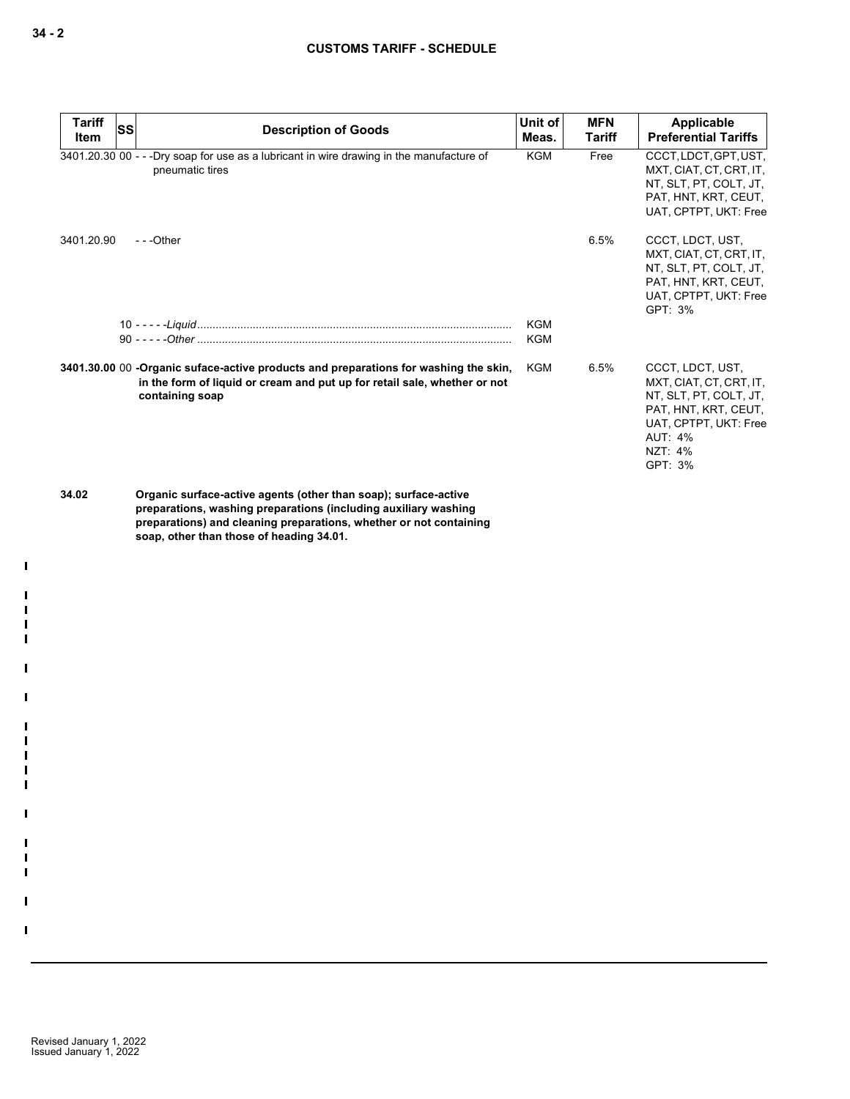| Tariff<br><b>Item</b> | <b>SS</b> | <b>Description of Goods</b>                                                                                                                                                                                                                                                                                                                                             | Unit of<br>Meas.         | <b>MFN</b><br><b>Tariff</b> | Applicable<br><b>Preferential Tariffs</b>                                                                                                                      |
|-----------------------|-----------|-------------------------------------------------------------------------------------------------------------------------------------------------------------------------------------------------------------------------------------------------------------------------------------------------------------------------------------------------------------------------|--------------------------|-----------------------------|----------------------------------------------------------------------------------------------------------------------------------------------------------------|
|                       |           | 3401.20.30 00 - - - Dry soap for use as a lubricant in wire drawing in the manufacture of<br>pneumatic tires                                                                                                                                                                                                                                                            | <b>KGM</b>               | Free                        | CCCT, LDCT, GPT, UST,<br>MXT, CIAT, CT, CRT, IT,<br>NT, SLT, PT, COLT, JT,<br>PAT, HNT, KRT, CEUT,<br>UAT, CPTPT, UKT: Free                                    |
| 3401.20.90            |           | $- -$ Other                                                                                                                                                                                                                                                                                                                                                             |                          | 6.5%                        | CCCT, LDCT, UST,<br>MXT, CIAT, CT, CRT, IT,<br>NT, SLT, PT, COLT, JT,<br>PAT, HNT, KRT, CEUT,<br>UAT, CPTPT, UKT: Free<br>GPT: 3%                              |
|                       |           |                                                                                                                                                                                                                                                                                                                                                                         | <b>KGM</b><br><b>KGM</b> |                             |                                                                                                                                                                |
|                       |           | 3401.30.00 00 -Organic suface-active products and preparations for washing the skin,<br>in the form of liquid or cream and put up for retail sale, whether or not<br>containing soap                                                                                                                                                                                    | KGM                      | 6.5%                        | CCCT. LDCT. UST.<br>MXT, CIAT, CT, CRT, IT,<br>NT, SLT, PT, COLT, JT,<br>PAT, HNT, KRT, CEUT,<br>UAT, CPTPT, UKT: Free<br><b>AUT: 4%</b><br>NZT: 4%<br>GPT: 3% |
| 34.02                 |           | Organic surface-active agents (other than soap); surface-active<br>preparations, washing preparations (including auxiliary washing<br>$\mathbf{a}$ , and a set of the set of the set of the set of the set of the set of the set of the set of the set of the set of the set of the set of the set of the set of the set of the set of the set of the set of the set of |                          |                             |                                                                                                                                                                |

**preparations) and cleaning preparations, whether or not containing soap, other than those of heading 34.01.**

 $\mathbf I$ - II - II - II - II

П

H

H П  $\blacksquare$  $\blacksquare$  $\mathbf{I}$ 

П

 $\mathbf{I}$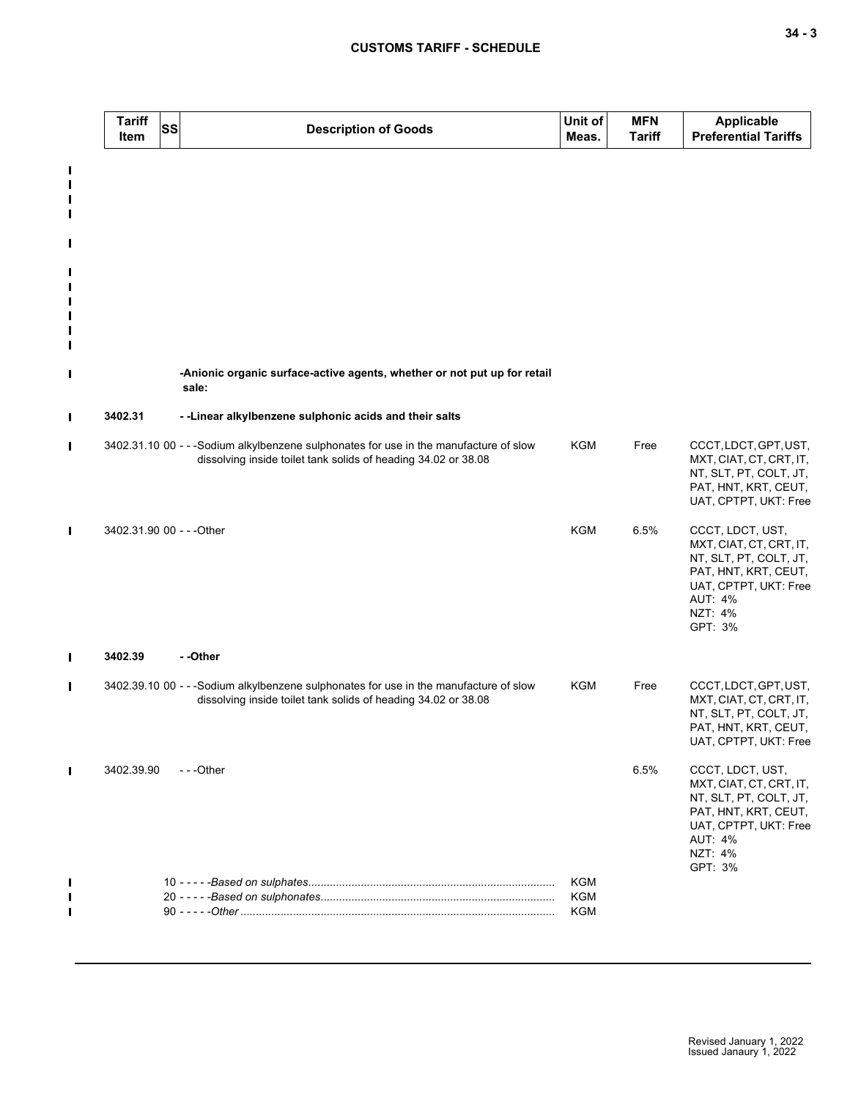|                            | <b>Tariff</b><br>Item     | <b>SS</b> | <b>Description of Goods</b>                                                                                                                              | Unit of<br>Meas.  | <b>MFN</b><br><b>Tariff</b> | <b>Applicable</b><br><b>Preferential Tariffs</b>                                                                                                               |
|----------------------------|---------------------------|-----------|----------------------------------------------------------------------------------------------------------------------------------------------------------|-------------------|-----------------------------|----------------------------------------------------------------------------------------------------------------------------------------------------------------|
| L<br>П<br>П<br>П           |                           |           |                                                                                                                                                          |                   |                             |                                                                                                                                                                |
| L                          |                           |           |                                                                                                                                                          |                   |                             |                                                                                                                                                                |
| Ш<br>П<br>П<br>П<br>П<br>П |                           |           |                                                                                                                                                          |                   |                             |                                                                                                                                                                |
| П                          |                           |           | -Anionic organic surface-active agents, whether or not put up for retail<br>sale:                                                                        |                   |                             |                                                                                                                                                                |
| П                          | 3402.31                   |           | - - Linear alkylbenzene sulphonic acids and their salts                                                                                                  |                   |                             |                                                                                                                                                                |
| П                          |                           |           | 3402.31.10 00 - - -Sodium alkylbenzene sulphonates for use in the manufacture of slow<br>dissolving inside toilet tank solids of heading 34.02 or 38.08  | <b>KGM</b>        | Free                        | CCCT, LDCT, GPT, UST,<br>MXT, CIAT, CT, CRT, IT,<br>NT, SLT, PT, COLT, JT,<br>PAT, HNT, KRT, CEUT,<br>UAT, CPTPT, UKT: Free                                    |
| П                          | 3402.31.90 00 - - - Other |           |                                                                                                                                                          | <b>KGM</b>        | 6.5%                        | CCCT, LDCT, UST,<br>MXT, CIAT, CT, CRT, IT,<br>NT, SLT, PT, COLT, JT,<br>PAT, HNT, KRT, CEUT,<br>UAT, CPTPT, UKT: Free<br><b>AUT: 4%</b><br>NZT: 4%<br>GPT: 3% |
| П                          | 3402.39                   |           | --Other                                                                                                                                                  |                   |                             |                                                                                                                                                                |
| $\blacksquare$             |                           |           | 3402.39.10 00 - - - Sodium alkylbenzene sulphonates for use in the manufacture of slow<br>dissolving inside toilet tank solids of heading 34.02 or 38.08 | <b>KGM</b>        | Free                        | CCCT, LDCT, GPT, UST,<br>MXT, CIAT, CT, CRT, IT,<br>NT, SLT, PT, COLT, JT,<br>PAT, HNT, KRT, CEUT,<br>UAT, CPTPT, UKT: Free                                    |
| П                          | 3402.39.90                |           | ---Other                                                                                                                                                 |                   | 6.5%                        | CCCT, LDCT, UST,<br>MXT, CIAT, CT, CRT, IT,<br>NT, SLT, PT, COLT, JT,<br>PAT, HNT, KRT, CEUT,<br>UAT, CPTPT, UKT: Free<br><b>AUT: 4%</b><br>NZT: 4%<br>GPT: 3% |
|                            |                           |           |                                                                                                                                                          | KGM<br>KGM<br>KGM |                             |                                                                                                                                                                |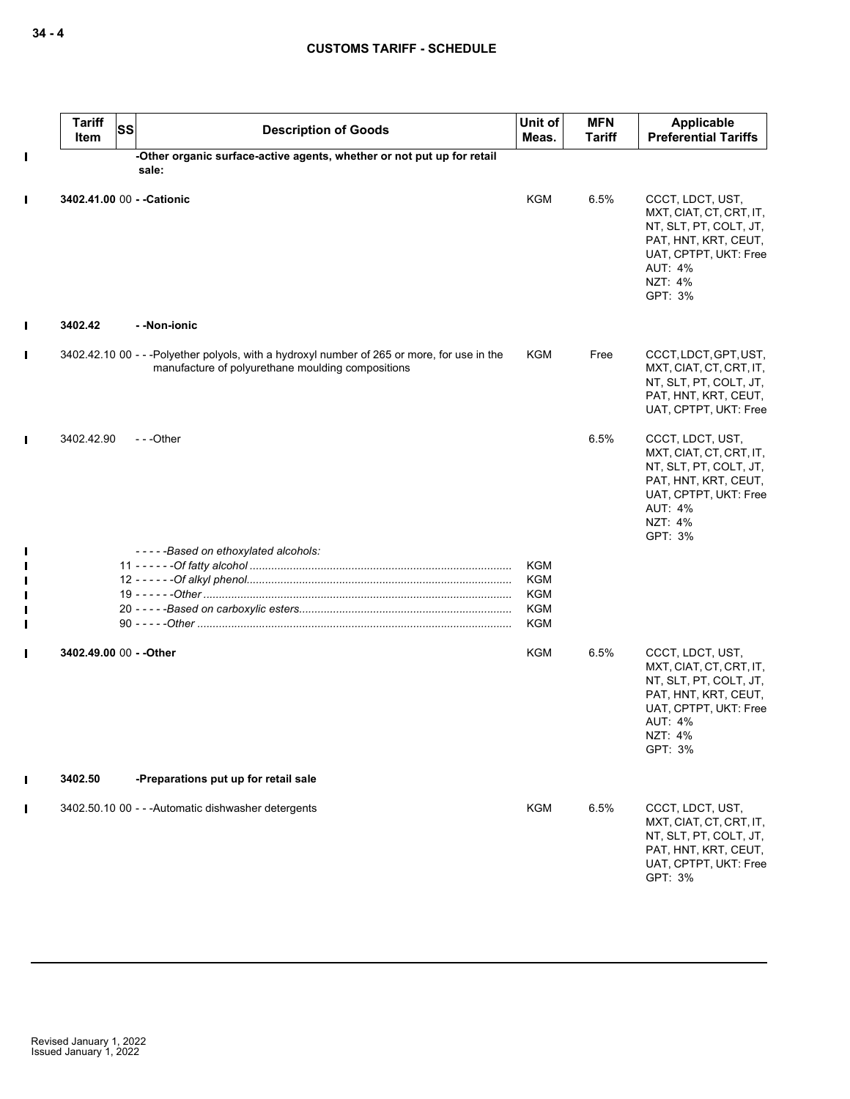|                               | <b>Tariff</b><br><b>SS</b><br>Item | <b>Description of Goods</b>                                                                                                                      | Unit of<br>Meas.  | <b>MFN</b><br>Tariff | Applicable<br><b>Preferential Tariffs</b>                                                                                                                      |
|-------------------------------|------------------------------------|--------------------------------------------------------------------------------------------------------------------------------------------------|-------------------|----------------------|----------------------------------------------------------------------------------------------------------------------------------------------------------------|
| П                             |                                    | -Other organic surface-active agents, whether or not put up for retail<br>sale:                                                                  |                   |                      |                                                                                                                                                                |
| $\blacksquare$                | 3402.41.00 00 - - Cationic         |                                                                                                                                                  | <b>KGM</b>        | 6.5%                 | CCCT, LDCT, UST,<br>MXT, CIAT, CT, CRT, IT,<br>NT, SLT, PT, COLT, JT,<br>PAT, HNT, KRT, CEUT,<br>UAT, CPTPT, UKT: Free<br><b>AUT: 4%</b><br>NZT: 4%<br>GPT: 3% |
| П                             | 3402.42                            | - -Non-ionic                                                                                                                                     |                   |                      |                                                                                                                                                                |
| $\blacksquare$                |                                    | 3402.42.10 00 - - -Polyether polyols, with a hydroxyl number of 265 or more, for use in the<br>manufacture of polyurethane moulding compositions | <b>KGM</b>        | Free                 | CCCT, LDCT, GPT, UST,<br>MXT, CIAT, CT, CRT, IT,<br>NT, SLT, PT, COLT, JT,<br>PAT, HNT, KRT, CEUT,<br>UAT, CPTPT, UKT: Free                                    |
| П                             | 3402.42.90                         | $-$ - -Other                                                                                                                                     |                   | 6.5%                 | CCCT, LDCT, UST,<br>MXT, CIAT, CT, CRT, IT,<br>NT, SLT, PT, COLT, JT,<br>PAT, HNT, KRT, CEUT,<br>UAT, CPTPT, UKT: Free<br><b>AUT: 4%</b><br>NZT: 4%<br>GPT: 3% |
| П                             |                                    | -----Based on ethoxylated alcohols:                                                                                                              | KGM               |                      |                                                                                                                                                                |
| $\mathbf I$                   |                                    |                                                                                                                                                  | KGM               |                      |                                                                                                                                                                |
| I                             |                                    |                                                                                                                                                  | KGM               |                      |                                                                                                                                                                |
| $\mathbf I$<br>$\blacksquare$ |                                    |                                                                                                                                                  | <b>KGM</b><br>KGM |                      |                                                                                                                                                                |
| П                             | 3402.49.00 00 - - Other            |                                                                                                                                                  | KGM               | 6.5%                 | CCCT, LDCT, UST,<br>MXT, CIAT, CT, CRT, IT,<br>NT, SLT, PT, COLT, JT,<br>PAT, HNT, KRT, CEUT,<br>UAT, CPTPT, UKT: Free<br><b>AUT: 4%</b><br>NZT: 4%<br>GPT: 3% |
| I                             | 3402.50                            | -Preparations put up for retail sale                                                                                                             |                   |                      |                                                                                                                                                                |
| $\blacksquare$                |                                    | 3402.50.10 00 - - - Automatic dishwasher detergents                                                                                              | <b>KGM</b>        | 6.5%                 | CCCT, LDCT, UST,<br>MXT, CIAT, CT, CRT, IT,<br>NT, SLT, PT, COLT, JT,<br>PAT, HNT, KRT, CEUT,<br>UAT, CPTPT, UKT: Free<br>GPT: 3%                              |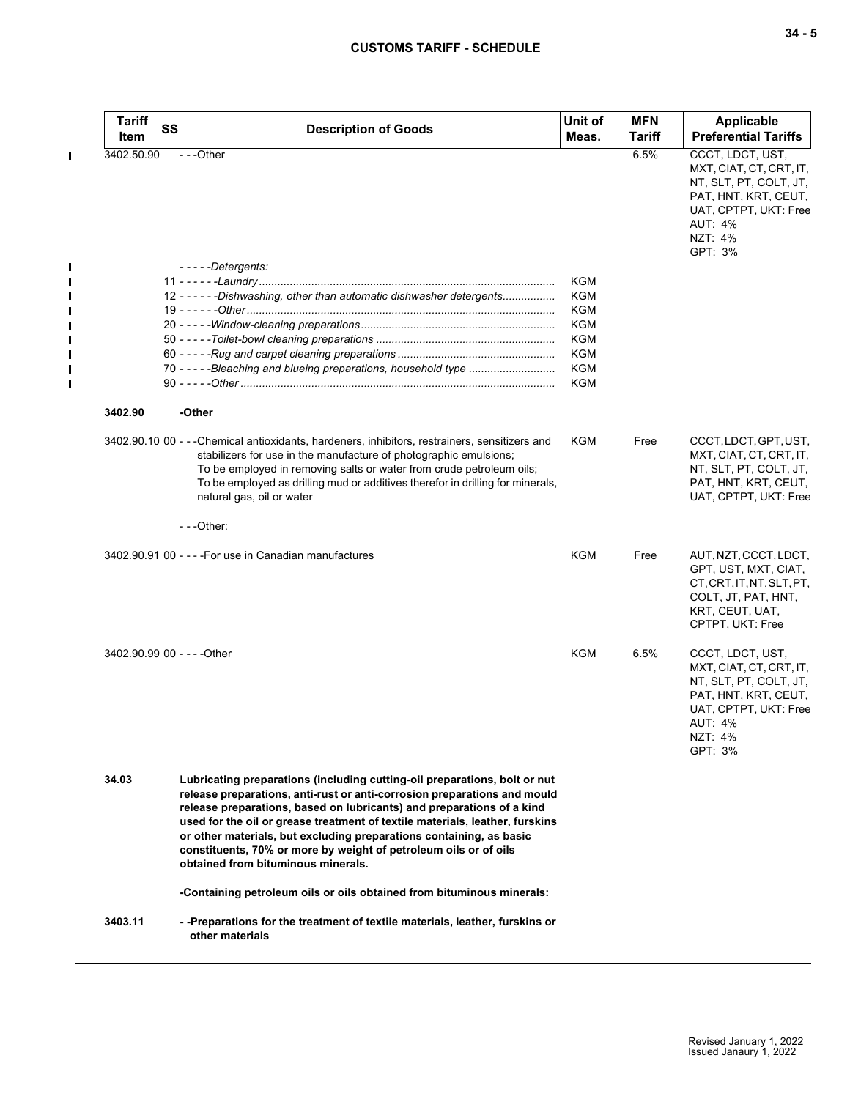| <b>Tariff</b>               | SS | <b>Description of Goods</b>                                                                                                                                                                                                                                                                                                                                                                                                                                                                     | Unit of           | <b>MFN</b> | <b>Applicable</b>                                                                                                                                              |
|-----------------------------|----|-------------------------------------------------------------------------------------------------------------------------------------------------------------------------------------------------------------------------------------------------------------------------------------------------------------------------------------------------------------------------------------------------------------------------------------------------------------------------------------------------|-------------------|------------|----------------------------------------------------------------------------------------------------------------------------------------------------------------|
| Item                        |    |                                                                                                                                                                                                                                                                                                                                                                                                                                                                                                 | Meas.             | Tariff     | <b>Preferential Tariffs</b>                                                                                                                                    |
| 3402.50.90                  |    | ---Other                                                                                                                                                                                                                                                                                                                                                                                                                                                                                        |                   | 6.5%       | CCCT, LDCT, UST,<br>MXT, CIAT, CT, CRT, IT,<br>NT, SLT, PT, COLT, JT,<br>PAT, HNT, KRT, CEUT,<br>UAT, CPTPT, UKT: Free<br><b>AUT: 4%</b><br>NZT: 4%<br>GPT: 3% |
|                             |    | $--$ - - - Detergents:                                                                                                                                                                                                                                                                                                                                                                                                                                                                          | KGM               |            |                                                                                                                                                                |
|                             |    | 12 - - - - - - Dishwashing, other than automatic dishwasher detergents                                                                                                                                                                                                                                                                                                                                                                                                                          | <b>KGM</b>        |            |                                                                                                                                                                |
|                             |    |                                                                                                                                                                                                                                                                                                                                                                                                                                                                                                 | KGM               |            |                                                                                                                                                                |
|                             |    |                                                                                                                                                                                                                                                                                                                                                                                                                                                                                                 | KGM               |            |                                                                                                                                                                |
|                             |    |                                                                                                                                                                                                                                                                                                                                                                                                                                                                                                 | KGM               |            |                                                                                                                                                                |
|                             |    |                                                                                                                                                                                                                                                                                                                                                                                                                                                                                                 | <b>KGM</b>        |            |                                                                                                                                                                |
|                             |    |                                                                                                                                                                                                                                                                                                                                                                                                                                                                                                 | KGM<br><b>KGM</b> |            |                                                                                                                                                                |
| 3402.90                     |    | -Other                                                                                                                                                                                                                                                                                                                                                                                                                                                                                          |                   |            |                                                                                                                                                                |
|                             |    | 3402.90.10 00 - - -Chemical antioxidants, hardeners, inhibitors, restrainers, sensitizers and<br>stabilizers for use in the manufacture of photographic emulsions;<br>To be employed in removing salts or water from crude petroleum oils;<br>To be employed as drilling mud or additives therefor in drilling for minerals,<br>natural gas, oil or water                                                                                                                                       | KGM               | Free       | CCCT, LDCT, GPT, UST,<br>MXT, CIAT, CT, CRT, IT,<br>NT, SLT, PT, COLT, JT,<br>PAT, HNT, KRT, CEUT,<br>UAT, CPTPT, UKT: Free                                    |
|                             |    | $- -$ Other:                                                                                                                                                                                                                                                                                                                                                                                                                                                                                    |                   |            |                                                                                                                                                                |
|                             |    | 3402.90.91 00 - - - - For use in Canadian manufactures                                                                                                                                                                                                                                                                                                                                                                                                                                          | <b>KGM</b>        | Free       | AUT, NZT, CCCT, LDCT,<br>GPT, UST, MXT, CIAT,<br>CT, CRT, IT, NT, SLT, PT,<br>COLT, JT, PAT, HNT,<br>KRT, CEUT, UAT,<br>CPTPT, UKT: Free                       |
| 3402.90.99 00 - - - - Other |    |                                                                                                                                                                                                                                                                                                                                                                                                                                                                                                 | <b>KGM</b>        | 6.5%       | CCCT, LDCT, UST,<br>MXT, CIAT, CT, CRT, IT,<br>NT, SLT, PT, COLT, JT,<br>PAT, HNT, KRT, CEUT,<br>UAT, CPTPT, UKT: Free<br>AUT: 4%<br>NZT: 4%<br>GPT: 3%        |
| 34.03                       |    | Lubricating preparations (including cutting-oil preparations, bolt or nut<br>release preparations, anti-rust or anti-corrosion preparations and mould<br>release preparations, based on lubricants) and preparations of a kind<br>used for the oil or grease treatment of textile materials, leather, furskins<br>or other materials, but excluding preparations containing, as basic<br>constituents, 70% or more by weight of petroleum oils or of oils<br>obtained from bituminous minerals. |                   |            |                                                                                                                                                                |
|                             |    | -Containing petroleum oils or oils obtained from bituminous minerals:                                                                                                                                                                                                                                                                                                                                                                                                                           |                   |            |                                                                                                                                                                |
|                             |    |                                                                                                                                                                                                                                                                                                                                                                                                                                                                                                 |                   |            |                                                                                                                                                                |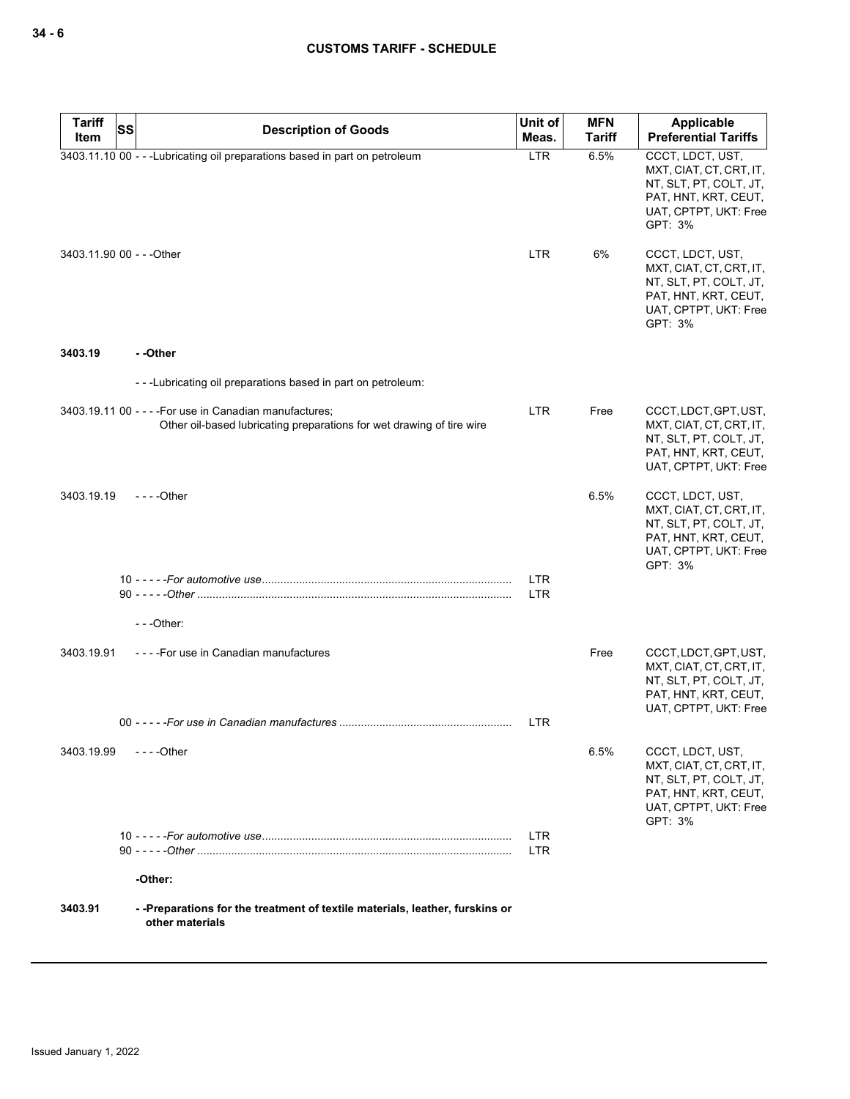| <b>Tariff</b>             | SS<br><b>Description of Goods</b>                                                                                                | Unit of           | <b>MFN</b>    | Applicable                                                                                                                        |
|---------------------------|----------------------------------------------------------------------------------------------------------------------------------|-------------------|---------------|-----------------------------------------------------------------------------------------------------------------------------------|
| Item                      |                                                                                                                                  | Meas.             | <b>Tariff</b> | <b>Preferential Tariffs</b>                                                                                                       |
|                           | 3403.11.10 00 - - - Lubricating oil preparations based in part on petroleum                                                      | <b>LTR</b>        | 6.5%          | CCCT, LDCT, UST,<br>MXT, CIAT, CT, CRT, IT,<br>NT, SLT, PT, COLT, JT,<br>PAT, HNT, KRT, CEUT,<br>UAT, CPTPT, UKT: Free<br>GPT: 3% |
| 3403.11.90 00 - - - Other |                                                                                                                                  | <b>LTR</b>        | 6%            | CCCT, LDCT, UST,<br>MXT, CIAT, CT, CRT, IT,<br>NT, SLT, PT, COLT, JT,<br>PAT, HNT, KRT, CEUT,<br>UAT, CPTPT, UKT: Free<br>GPT: 3% |
| 3403.19                   | - -Other                                                                                                                         |                   |               |                                                                                                                                   |
|                           | ---Lubricating oil preparations based in part on petroleum:                                                                      |                   |               |                                                                                                                                   |
|                           | 3403.19.11 00 - - - - For use in Canadian manufactures;<br>Other oil-based lubricating preparations for wet drawing of tire wire | <b>LTR</b>        | Free          | CCCT, LDCT, GPT, UST,<br>MXT, CIAT, CT, CRT, IT,<br>NT, SLT, PT, COLT, JT,<br>PAT, HNT, KRT, CEUT,<br>UAT, CPTPT, UKT: Free       |
| 3403.19.19                | $- - -$ Other                                                                                                                    |                   | 6.5%          | CCCT, LDCT, UST,<br>MXT, CIAT, CT, CRT, IT,<br>NT, SLT, PT, COLT, JT,<br>PAT, HNT, KRT, CEUT,<br>UAT, CPTPT, UKT: Free<br>GPT: 3% |
|                           |                                                                                                                                  | <b>LTR</b>        |               |                                                                                                                                   |
|                           |                                                                                                                                  | <b>LTR</b>        |               |                                                                                                                                   |
|                           | $--$ Other:                                                                                                                      |                   |               |                                                                                                                                   |
| 3403.19.91                | ----For use in Canadian manufactures                                                                                             |                   | Free          | CCCT, LDCT, GPT, UST,<br>MXT, CIAT, CT, CRT, IT,<br>NT, SLT, PT, COLT, JT,<br>PAT, HNT, KRT, CEUT,<br>UAT, CPTPT, UKT: Free       |
|                           |                                                                                                                                  | <b>LTR</b>        |               |                                                                                                                                   |
| 3403.19.99                | $- - -$ Other                                                                                                                    |                   | 6.5%          | CCCT, LDCT, UST,<br>MXT, CIAT, CT, CRT, IT,<br>NT, SLT, PT, COLT, JT,<br>PAT, HNT, KRT, CEUT,<br>UAT, CPTPT, UKT: Free<br>GPT: 3% |
|                           |                                                                                                                                  | LTR<br><b>LTR</b> |               |                                                                                                                                   |
|                           | -Other:                                                                                                                          |                   |               |                                                                                                                                   |
| 3403.91                   | --Preparations for the treatment of textile materials, leather, furskins or<br>other materials                                   |                   |               |                                                                                                                                   |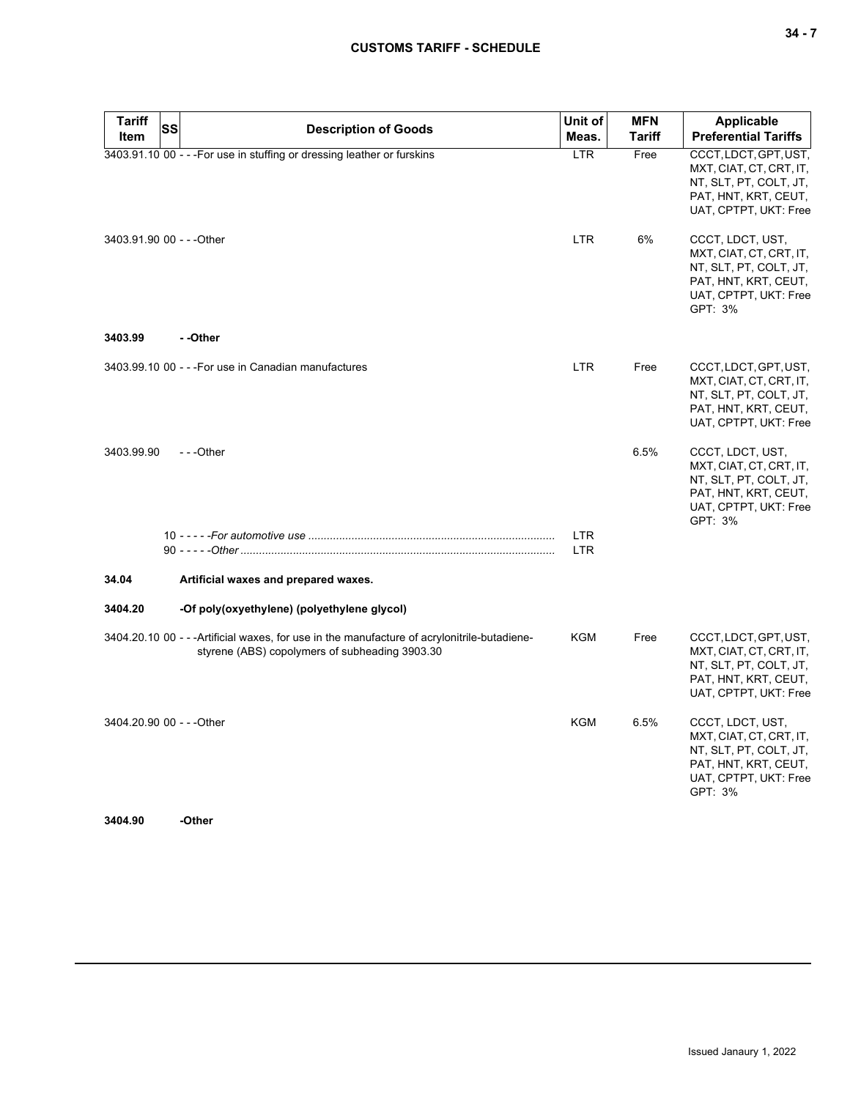| v<br>۰. |  |  |
|---------|--|--|
|---------|--|--|

| <b>Tariff</b><br>Item     | SS | <b>Description of Goods</b>                                                                                                                    | Unit of<br>Meas. | <b>MFN</b><br>Tariff | <b>Applicable</b><br><b>Preferential Tariffs</b>                                                                                  |
|---------------------------|----|------------------------------------------------------------------------------------------------------------------------------------------------|------------------|----------------------|-----------------------------------------------------------------------------------------------------------------------------------|
|                           |    | 3403.91.10 00 - - - For use in stuffing or dressing leather or furskins                                                                        | <b>LTR</b>       | Free                 | CCCT, LDCT, GPT, UST,<br>MXT, CIAT, CT, CRT, IT,<br>NT, SLT, PT, COLT, JT,<br>PAT, HNT, KRT, CEUT,<br>UAT, CPTPT, UKT: Free       |
| 3403.91.90 00 - - - Other |    |                                                                                                                                                | <b>LTR</b>       | 6%                   | CCCT, LDCT, UST,<br>MXT, CIAT, CT, CRT, IT,<br>NT, SLT, PT, COLT, JT,<br>PAT, HNT, KRT, CEUT,<br>UAT, CPTPT, UKT: Free<br>GPT: 3% |
| 3403.99                   |    | - -Other                                                                                                                                       |                  |                      |                                                                                                                                   |
|                           |    | 3403.99.10 00 - - - For use in Canadian manufactures                                                                                           | <b>LTR</b>       | Free                 | CCCT, LDCT, GPT, UST,<br>MXT, CIAT, CT, CRT, IT,<br>NT, SLT, PT, COLT, JT,<br>PAT, HNT, KRT, CEUT,<br>UAT, CPTPT, UKT: Free       |
| 3403.99.90                |    | $- -$ Other                                                                                                                                    |                  | 6.5%                 | CCCT, LDCT, UST,<br>MXT, CIAT, CT, CRT, IT,<br>NT, SLT, PT, COLT, JT,<br>PAT, HNT, KRT, CEUT,<br>UAT, CPTPT, UKT: Free<br>GPT: 3% |
|                           |    |                                                                                                                                                | <b>LTR</b>       |                      |                                                                                                                                   |
|                           |    |                                                                                                                                                | <b>LTR</b>       |                      |                                                                                                                                   |
| 34.04                     |    | Artificial waxes and prepared waxes.                                                                                                           |                  |                      |                                                                                                                                   |
| 3404.20                   |    | -Of poly(oxyethylene) (polyethylene glycol)                                                                                                    |                  |                      |                                                                                                                                   |
|                           |    | 3404.20.10 00 - - - Artificial waxes, for use in the manufacture of acrylonitrile-butadiene-<br>styrene (ABS) copolymers of subheading 3903.30 | <b>KGM</b>       | Free                 | CCCT, LDCT, GPT, UST,<br>MXT, CIAT, CT, CRT, IT,<br>NT, SLT, PT, COLT, JT,<br>PAT, HNT, KRT, CEUT,<br>UAT, CPTPT, UKT: Free       |
| 3404.20.90 00 - - - Other |    |                                                                                                                                                | KGM              | 6.5%                 | CCCT, LDCT, UST,<br>MXT, CIAT, CT, CRT, IT,<br>NT, SLT, PT, COLT, JT,<br>PAT, HNT, KRT, CEUT,<br>UAT, CPTPT, UKT: Free<br>GPT: 3% |

**3404.90 -Other**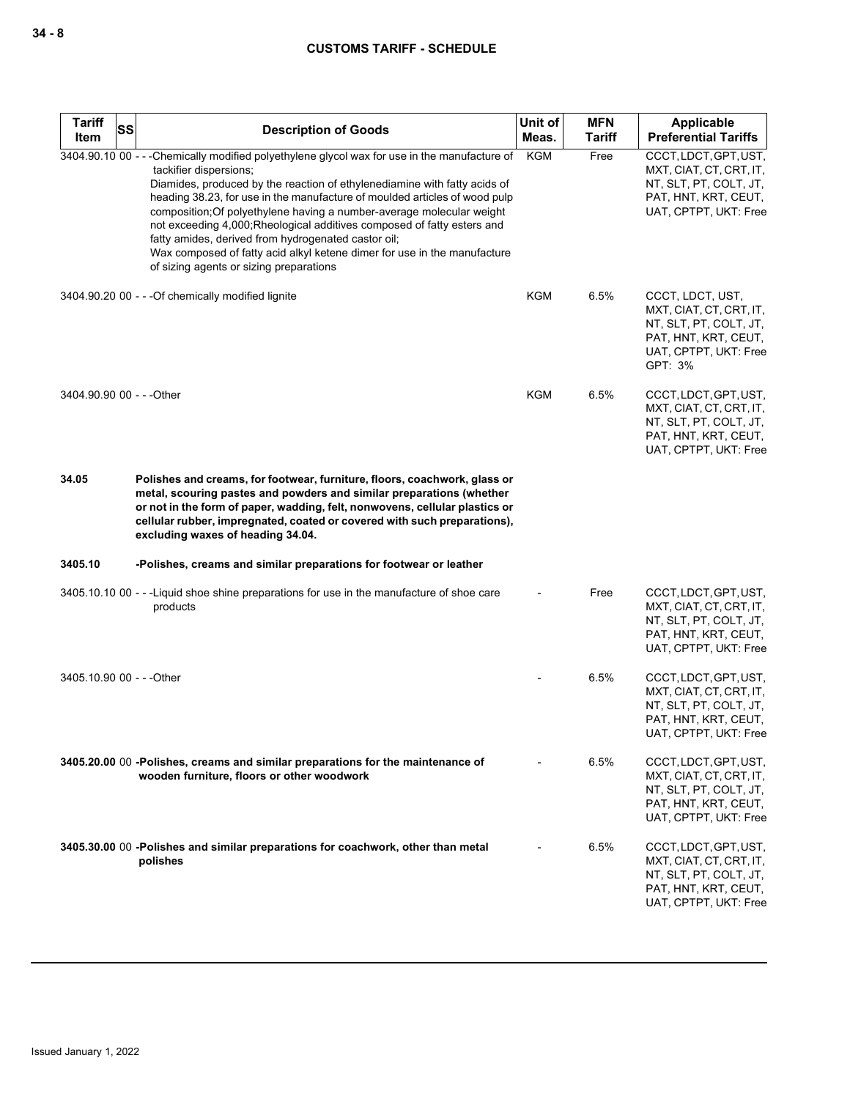| <b>Tariff</b><br>SS<br>Item | <b>Description of Goods</b>                                                                                                                                                                                                                                                                                                                                                                                                                                                                                                                                                                                          | Unit of<br>Meas. | <b>MFN</b><br><b>Tariff</b> | <b>Applicable</b><br><b>Preferential Tariffs</b>                                                                                  |
|-----------------------------|----------------------------------------------------------------------------------------------------------------------------------------------------------------------------------------------------------------------------------------------------------------------------------------------------------------------------------------------------------------------------------------------------------------------------------------------------------------------------------------------------------------------------------------------------------------------------------------------------------------------|------------------|-----------------------------|-----------------------------------------------------------------------------------------------------------------------------------|
|                             | 3404.90.10 00 - - - Chemically modified polyethylene glycol wax for use in the manufacture of<br>tackifier dispersions;<br>Diamides, produced by the reaction of ethylenediamine with fatty acids of<br>heading 38.23, for use in the manufacture of moulded articles of wood pulp<br>composition; Of polyethylene having a number-average molecular weight<br>not exceeding 4,000; Rheological additives composed of fatty esters and<br>fatty amides, derived from hydrogenated castor oil;<br>Wax composed of fatty acid alkyl ketene dimer for use in the manufacture<br>of sizing agents or sizing preparations | <b>KGM</b>       | Free                        | CCCT, LDCT, GPT, UST,<br>MXT, CIAT, CT, CRT, IT,<br>NT, SLT, PT, COLT, JT,<br>PAT, HNT, KRT, CEUT,<br>UAT, CPTPT, UKT: Free       |
|                             | 3404.90.20 00 - - - Of chemically modified lignite                                                                                                                                                                                                                                                                                                                                                                                                                                                                                                                                                                   | <b>KGM</b>       | 6.5%                        | CCCT, LDCT, UST,<br>MXT, CIAT, CT, CRT, IT,<br>NT, SLT, PT, COLT, JT,<br>PAT, HNT, KRT, CEUT,<br>UAT, CPTPT, UKT: Free<br>GPT: 3% |
| 3404.90.90 00 - - - Other   |                                                                                                                                                                                                                                                                                                                                                                                                                                                                                                                                                                                                                      | <b>KGM</b>       | 6.5%                        | CCCT, LDCT, GPT, UST,<br>MXT, CIAT, CT, CRT, IT,<br>NT, SLT, PT, COLT, JT,<br>PAT, HNT, KRT, CEUT,<br>UAT, CPTPT, UKT: Free       |
| 34.05                       | Polishes and creams, for footwear, furniture, floors, coachwork, glass or<br>metal, scouring pastes and powders and similar preparations (whether<br>or not in the form of paper, wadding, felt, nonwovens, cellular plastics or<br>cellular rubber, impregnated, coated or covered with such preparations),<br>excluding waxes of heading 34.04.                                                                                                                                                                                                                                                                    |                  |                             |                                                                                                                                   |
| 3405.10                     | -Polishes, creams and similar preparations for footwear or leather                                                                                                                                                                                                                                                                                                                                                                                                                                                                                                                                                   |                  |                             |                                                                                                                                   |
|                             | 3405.10.10 00 - - -Liquid shoe shine preparations for use in the manufacture of shoe care<br>products                                                                                                                                                                                                                                                                                                                                                                                                                                                                                                                |                  | Free                        | CCCT, LDCT, GPT, UST,<br>MXT, CIAT, CT, CRT, IT,<br>NT, SLT, PT, COLT, JT,<br>PAT, HNT, KRT, CEUT,<br>UAT, CPTPT, UKT: Free       |
| 3405.10.90 00 - - - Other   |                                                                                                                                                                                                                                                                                                                                                                                                                                                                                                                                                                                                                      |                  | 6.5%                        | CCCT, LDCT, GPT, UST,<br>MXT, CIAT, CT, CRT, IT,<br>NT, SLT, PT, COLT, JT,<br>PAT, HNT, KRT, CEUT,<br>UAT, CPTPT, UKT: Free       |
|                             | 3405.20.00 00 -Polishes, creams and similar preparations for the maintenance of<br>wooden furniture, floors or other woodwork                                                                                                                                                                                                                                                                                                                                                                                                                                                                                        |                  | 6.5%                        | CCCT, LDCT, GPT, UST,<br>MXT, CIAT, CT, CRT, IT,<br>NT, SLT, PT, COLT, JT,<br>PAT, HNT, KRT, CEUT,<br>UAT, CPTPT, UKT: Free       |
|                             | 3405.30.00 00 -Polishes and similar preparations for coachwork, other than metal<br>polishes                                                                                                                                                                                                                                                                                                                                                                                                                                                                                                                         |                  | 6.5%                        | CCCT, LDCT, GPT, UST,<br>MXT, CIAT, CT, CRT, IT,<br>NT, SLT, PT, COLT, JT,<br>PAT, HNT, KRT, CEUT,<br>UAT, CPTPT, UKT: Free       |